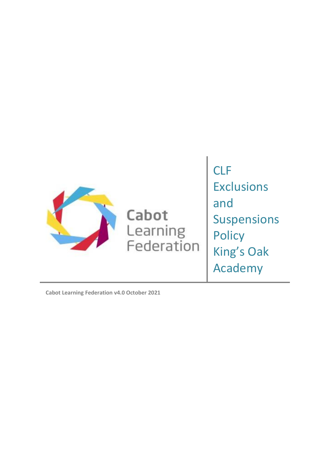

Cabot Learning<br>Federation CLF Exclusions and Suspensions **Policy** King's Oak Academy

**Cabot Learning Federation v4.0 October 2021**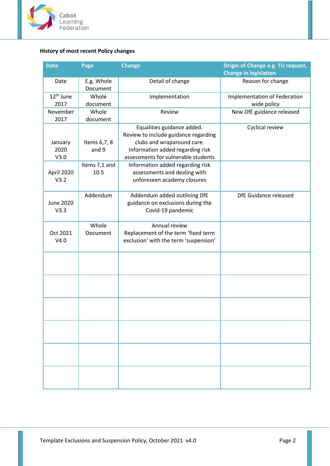

# <span id="page-1-0"></span>**History of most recent Policy changes**

| <b>Date</b>                   | Page                   | <b>Change</b>                                                                                                                                                               | Origin of Change e.g. TU request,<br><b>Change in legislation</b> |
|-------------------------------|------------------------|-----------------------------------------------------------------------------------------------------------------------------------------------------------------------------|-------------------------------------------------------------------|
| Date                          | E.g. Whole<br>Document | Detail of change                                                                                                                                                            | Reason for change                                                 |
| 12 <sup>th</sup> June<br>2017 | Whole<br>document      | Implementation                                                                                                                                                              | Implementation of Federation<br>wide policy                       |
| November<br>2017              | Whole<br>document      | Review                                                                                                                                                                      | New DfE guidance released                                         |
| January<br>2020<br>V3.0       | Items 6,7, 8<br>and 9  | Equalities guidance added.<br>Review to include guidance regarding<br>clubs and wraparound care.<br>Information added regarding risk<br>assessments for vulnerable students | Cyclical review                                                   |
| April 2020<br>V3.2            | Items 7.1 and<br>10.5  | Information added regarding risk<br>assessments and dealing with<br>unforeseen academy closures                                                                             |                                                                   |
| <b>June 2020</b><br>V3.3      | Addendum               | Addendum added outlining DfE<br>guidance on exclusions during the<br>Covid-19 pandemic                                                                                      | DfE Guidance released                                             |
| Oct 2021<br>V4.0              | Whole<br>Document      | Annual review<br>Replacement of the term 'fixed term<br>exclusion' with the term 'suspension'                                                                               |                                                                   |
|                               |                        |                                                                                                                                                                             |                                                                   |
|                               |                        |                                                                                                                                                                             |                                                                   |
|                               |                        |                                                                                                                                                                             |                                                                   |
|                               |                        |                                                                                                                                                                             |                                                                   |
|                               |                        |                                                                                                                                                                             |                                                                   |
|                               |                        |                                                                                                                                                                             |                                                                   |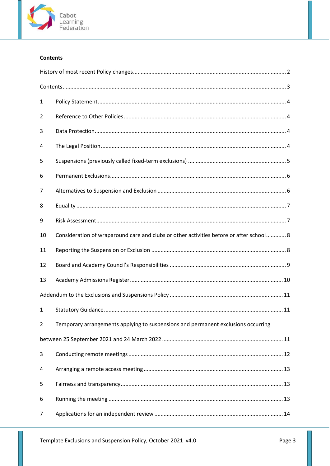

## <span id="page-2-0"></span>**Contents**

| 1  |                                                                                         |  |  |
|----|-----------------------------------------------------------------------------------------|--|--|
| 2  |                                                                                         |  |  |
| 3  |                                                                                         |  |  |
| 4  |                                                                                         |  |  |
| 5  |                                                                                         |  |  |
| 6  |                                                                                         |  |  |
| 7  |                                                                                         |  |  |
| 8  |                                                                                         |  |  |
| 9  |                                                                                         |  |  |
| 10 | Consideration of wraparound care and clubs or other activities before or after school 8 |  |  |
| 11 |                                                                                         |  |  |
| 12 |                                                                                         |  |  |
| 13 |                                                                                         |  |  |
|    |                                                                                         |  |  |
| 1  |                                                                                         |  |  |
| 2  | Temporary arrangements applying to suspensions and permanent exclusions occurring       |  |  |
|    |                                                                                         |  |  |
| 3  |                                                                                         |  |  |
| 4  |                                                                                         |  |  |
| 5  |                                                                                         |  |  |
| 6  |                                                                                         |  |  |
| 7  |                                                                                         |  |  |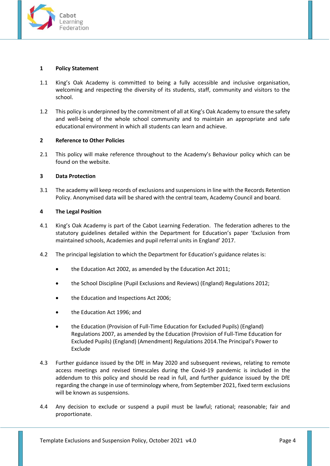

### <span id="page-3-0"></span>**1 Policy Statement**

- 1.1 King's Oak Academy is committed to being a fully accessible and inclusive organisation, welcoming and respecting the diversity of its students, staff, community and visitors to the school.
- 1.2 This policy is underpinned by the commitment of all at King's Oak Academy to ensure the safety and well-being of the whole school community and to maintain an appropriate and safe educational environment in which all students can learn and achieve.

## <span id="page-3-1"></span>**2 Reference to Other Policies**

2.1 This policy will make reference throughout to the Academy's Behaviour policy which can be found on the website.

#### <span id="page-3-2"></span>**3 Data Protection**

3.1 The academy will keep records of exclusions and suspensions in line with the Records Retention Policy. Anonymised data will be shared with the central team, Academy Council and board.

#### <span id="page-3-3"></span>**4 The Legal Position**

- 4.1 King's Oak Academy is part of the Cabot Learning Federation. The federation adheres to the statutory guidelines detailed within the Department for Education's paper 'Exclusion from maintained schools, Academies and pupil referral units in England' 2017.
- 4.2 The principal legislation to which the Department for Education's guidance relates is:
	- the Education Act 2002, as amended by the Education Act 2011;
	- the School Discipline (Pupil Exclusions and Reviews) (England) Regulations 2012;
	- the Education and Inspections Act 2006;
	- the Education Act 1996; and
	- the Education (Provision of Full-Time Education for Excluded Pupils) (England) Regulations 2007, as amended by the Education (Provision of Full-Time Education for Excluded Pupils) (England) (Amendment) Regulations 2014.The Principal's Power to Exclude
- 4.3 Further guidance issued by the DfE in May 2020 and subsequent reviews, relating to remote access meetings and revised timescales during the Covid-19 pandemic is included in the addendum to this policy and should be read in full, and further guidance issued by the DfE regarding the change in use of terminology where, from September 2021, fixed term exclusions will be known as suspensions.
- 4.4 Any decision to exclude or suspend a pupil must be lawful; rational; reasonable; fair and proportionate.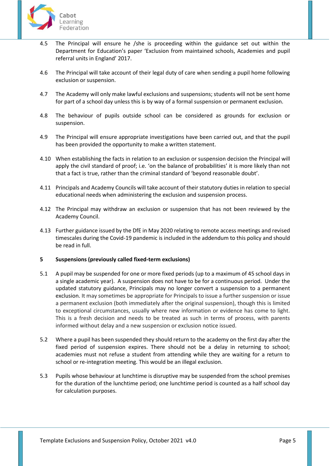

- 4.5 The Principal will ensure he /she is proceeding within the guidance set out within the Department for Education's paper 'Exclusion from maintained schools, Academies and pupil referral units in England' 2017.
- 4.6 The Principal will take account of their legal duty of care when sending a pupil home following exclusion or suspension.
- 4.7 The Academy will only make lawful exclusions and suspensions; students will not be sent home for part of a school day unless this is by way of a formal suspension or permanent exclusion.
- 4.8 The behaviour of pupils outside school can be considered as grounds for exclusion or suspension.
- 4.9 The Principal will ensure appropriate investigations have been carried out, and that the pupil has been provided the opportunity to make a written statement.
- 4.10 When establishing the facts in relation to an exclusion or suspension decision the Principal will apply the civil standard of proof; i.e. 'on the balance of probabilities' it is more likely than not that a fact is true, rather than the criminal standard of 'beyond reasonable doubt'.
- 4.11 Principals and Academy Councils will take account of their statutory duties in relation to special educational needs when administering the exclusion and suspension process.
- 4.12 The Principal may withdraw an exclusion or suspension that has not been reviewed by the Academy Council.
- 4.13 Further guidance issued by the DfE in May 2020 relating to remote access meetings and revised timescales during the Covid-19 pandemic is included in the addendum to this policy and should be read in full.

## <span id="page-4-0"></span>**5 Suspensions (previously called fixed-term exclusions)**

- 5.1 A pupil may be suspended for one or more fixed periods (up to a maximum of 45 school days in a single academic year). A suspension does not have to be for a continuous period. Under the updated statutory guidance, Principals may no longer convert a suspension to a permanent exclusion. It may sometimes be appropriate for Principals to issue a further suspension or issue a permanent exclusion (both immediately after the original suspension), though this is limited to exceptional circumstances, usually where new information or evidence has come to light. This is a fresh decision and needs to be treated as such in terms of process, with parents informed without delay and a new suspension or exclusion notice issued.
- 5.2 Where a pupil has been suspended they should return to the academy on the first day after the fixed period of suspension expires. There should not be a delay in returning to school; academies must not refuse a student from attending while they are waiting for a return to school or re-integration meeting. This would be an illegal exclusion.
- 5.3 Pupils whose behaviour at lunchtime is disruptive may be suspended from the school premises for the duration of the lunchtime period; one lunchtime period is counted as a half school day for calculation purposes.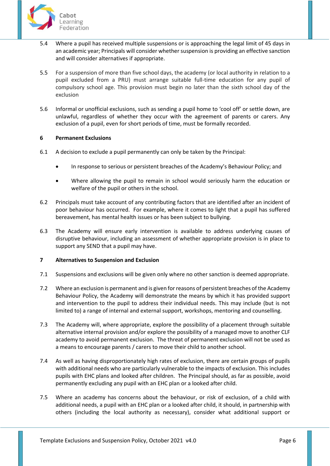

- 5.4 Where a pupil has received multiple suspensions or is approaching the legal limit of 45 days in an academic year; Principals will consider whether suspension is providing an effective sanction and will consider alternatives if appropriate.
- 5.5 For a suspension of more than five school days, the academy (or local authority in relation to a pupil excluded from a PRU) must arrange suitable full-time education for any pupil of compulsory school age. This provision must begin no later than the sixth school day of the exclusion
- 5.6 Informal or unofficial exclusions, such as sending a pupil home to 'cool off' or settle down, are unlawful, regardless of whether they occur with the agreement of parents or carers. Any exclusion of a pupil, even for short periods of time, must be formally recorded.

## <span id="page-5-0"></span>**6 Permanent Exclusions**

- 6.1 A decision to exclude a pupil permanently can only be taken by the Principal:
	- In response to serious or persistent breaches of the Academy's Behaviour Policy; and
	- Where allowing the pupil to remain in school would seriously harm the education or welfare of the pupil or others in the school.
- 6.2 Principals must take account of any contributing factors that are identified after an incident of poor behaviour has occurred. For example, where it comes to light that a pupil has suffered bereavement, has mental health issues or has been subject to bullying.
- 6.3 The Academy will ensure early intervention is available to address underlying causes of disruptive behaviour, including an assessment of whether appropriate provision is in place to support any SEND that a pupil may have.

## <span id="page-5-1"></span>**7 Alternatives to Suspension and Exclusion**

- 7.1 Suspensions and exclusions will be given only where no other sanction is deemed appropriate.
- 7.2 Where an exclusion is permanent and is given for reasons of persistent breaches of the Academy Behaviour Policy, the Academy will demonstrate the means by which it has provided support and intervention to the pupil to address their individual needs. This may include (but is not limited to) a range of internal and external support, workshops, mentoring and counselling.
- 7.3 The Academy will, where appropriate, explore the possibility of a placement through suitable alternative internal provision and/or explore the possibility of a managed move to another CLF academy to avoid permanent exclusion. The threat of permanent exclusion will not be used as a means to encourage parents / carers to move their child to another school.
- 7.4 As well as having disproportionately high rates of exclusion, there are certain groups of pupils with additional needs who are particularly vulnerable to the impacts of exclusion. This includes pupils with EHC plans and looked after children. The Principal should, as far as possible, avoid permanently excluding any pupil with an EHC plan or a looked after child.
- 7.5 Where an academy has concerns about the behaviour, or risk of exclusion, of a child with additional needs, a pupil with an EHC plan or a looked after child, it should, in partnership with others (including the local authority as necessary), consider what additional support or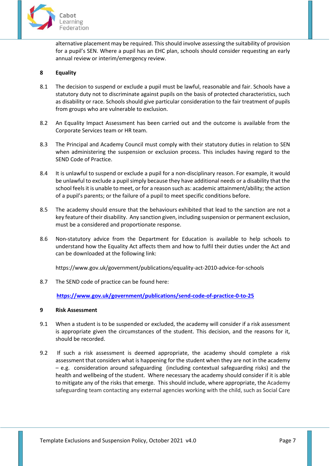

alternative placement may be required. This should involve assessing the suitability of provision for a pupil's SEN. Where a pupil has an EHC plan, schools should consider requesting an early annual review or interim/emergency review.

## <span id="page-6-0"></span>**8 Equality**

- 8.1 The decision to suspend or exclude a pupil must be lawful, reasonable and fair. Schools have a statutory duty not to discriminate against pupils on the basis of protected characteristics, such as disability or race. Schools should give particular consideration to the fair treatment of pupils from groups who are vulnerable to exclusion.
- 8.2 An Equality Impact Assessment has been carried out and the outcome is available from the Corporate Services team or HR team.
- 8.3 The Principal and Academy Council must comply with their statutory duties in relation to SEN when administering the suspension or exclusion process. This includes having regard to the SEND Code of Practice.
- 8.4 It is unlawful to suspend or exclude a pupil for a non-disciplinary reason. For example, it would be unlawful to exclude a pupil simply because they have additional needs or a disability that the school feels it is unable to meet, or for a reason such as: academic attainment/ability; the action of a pupil's parents; or the failure of a pupil to meet specific conditions before.
- 8.5 The academy should ensure that the behaviours exhibited that lead to the sanction are not a key feature of their disability. Any sanction given, including suspension or permanent exclusion, must be a considered and proportionate response.
- 8.6 Non-statutory advice from the Department for Education is available to help schools to understand how the Equality Act affects them and how to fulfil their duties under the Act and can be downloaded at the following link:

https://www.gov.uk/government/publications/equality-act-2010-advice-for-schools

8.7 The SEND code of practice can be found here:

**<https://www.gov.uk/government/publications/send-code-of-practice-0-to-25>**

## <span id="page-6-1"></span>**9 Risk Assessment**

- 9.1 When a student is to be suspended or excluded, the academy will consider if a risk assessment is appropriate given the circumstances of the student. This decision, and the reasons for it, should be recorded.
- 9.2 If such a risk assessment is deemed appropriate, the academy should complete a risk assessment that considers what is happening for the student when they are not in the academy – e.g. consideration around safeguarding (including contextual safeguarding risks) and the health and wellbeing of the student. Where necessary the academy should consider if it is able to mitigate any of the risks that emerge. This should include, where appropriate, the Academy safeguarding team contacting any external agencies working with the child, such as Social Care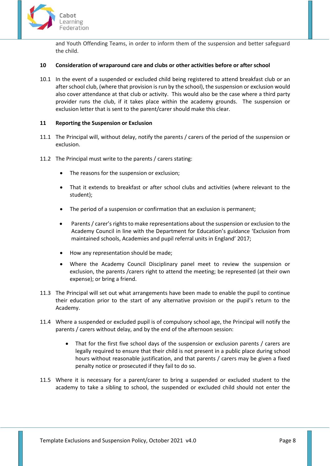

and Youth Offending Teams, in order to inform them of the suspension and better safeguard the child.

## <span id="page-7-0"></span>**10 Consideration of wraparound care and clubs or other activities before or after school**

10.1 In the event of a suspended or excluded child being registered to attend breakfast club or an after school club, (where that provision is run by the school), the suspension or exclusion would also cover attendance at that club or activity. This would also be the case where a third party provider runs the club, if it takes place within the academy grounds. The suspension or exclusion letter that is sent to the parent/carer should make this clear.

#### <span id="page-7-1"></span>**11 Reporting the Suspension or Exclusion**

- 11.1 The Principal will, without delay, notify the parents / carers of the period of the suspension or exclusion.
- 11.2 The Principal must write to the parents / carers stating:
	- The reasons for the suspension or exclusion;
	- That it extends to breakfast or after school clubs and activities (where relevant to the student);
	- The period of a suspension or confirmation that an exclusion is permanent;
	- Parents / carer's rights to make representations about the suspension or exclusion to the Academy Council in line with the Department for Education's guidance 'Exclusion from maintained schools, Academies and pupil referral units in England' 2017;
	- How any representation should be made;
	- Where the Academy Council Disciplinary panel meet to review the suspension or exclusion, the parents /carers right to attend the meeting; be represented (at their own expense); or bring a friend.
- 11.3 The Principal will set out what arrangements have been made to enable the pupil to continue their education prior to the start of any alternative provision or the pupil's return to the Academy.
- 11.4 Where a suspended or excluded pupil is of compulsory school age, the Principal will notify the parents / carers without delay, and by the end of the afternoon session:
	- That for the first five school days of the suspension or exclusion parents / carers are legally required to ensure that their child is not present in a public place during school hours without reasonable justification, and that parents / carers may be given a fixed penalty notice or prosecuted if they fail to do so.
- 11.5 Where it is necessary for a parent/carer to bring a suspended or excluded student to the academy to take a sibling to school, the suspended or excluded child should not enter the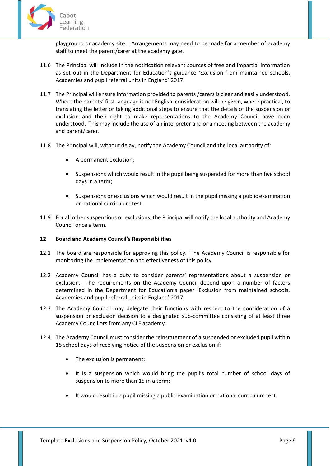

playground or academy site. Arrangements may need to be made for a member of academy staff to meet the parent/carer at the academy gate.

- 11.6 The Principal will include in the notification relevant sources of free and impartial information as set out in the Department for Education's guidance 'Exclusion from maintained schools, Academies and pupil referral units in England' 2017.
- 11.7 The Principal will ensure information provided to parents /carers is clear and easily understood. Where the parents' first language is not English, consideration will be given, where practical, to translating the letter or taking additional steps to ensure that the details of the suspension or exclusion and their right to make representations to the Academy Council have been understood. This may include the use of an interpreter and or a meeting between the academy and parent/carer.
- 11.8 The Principal will, without delay, notify the Academy Council and the local authority of:
	- A permanent exclusion;
	- Suspensions which would result in the pupil being suspended for more than five school days in a term;
	- Suspensions or exclusions which would result in the pupil missing a public examination or national curriculum test.
- 11.9 For all other suspensions or exclusions, the Principal will notify the local authority and Academy Council once a term.

## <span id="page-8-0"></span>**12 Board and Academy Council's Responsibilities**

- 12.1 The board are responsible for approving this policy. The Academy Council is responsible for monitoring the implementation and effectiveness of this policy.
- 12.2 Academy Council has a duty to consider parents' representations about a suspension or exclusion. The requirements on the Academy Council depend upon a number of factors determined in the Department for Education's paper 'Exclusion from maintained schools, Academies and pupil referral units in England' 2017.
- 12.3 The Academy Council may delegate their functions with respect to the consideration of a suspension or exclusion decision to a designated sub-committee consisting of at least three Academy Councillors from any CLF academy.
- 12.4 The Academy Council must consider the reinstatement of a suspended or excluded pupil within 15 school days of receiving notice of the suspension or exclusion if:
	- The exclusion is permanent;
	- It is a suspension which would bring the pupil's total number of school days of suspension to more than 15 in a term;
	- It would result in a pupil missing a public examination or national curriculum test.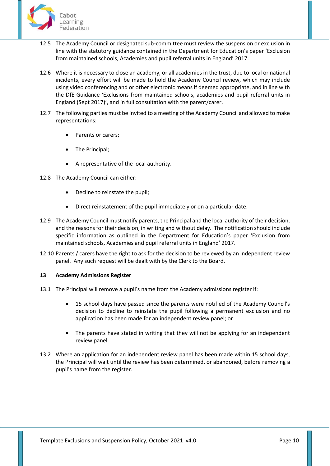

- 12.5 The Academy Council or designated sub-committee must review the suspension or exclusion in line with the statutory guidance contained in the Department for Education's paper 'Exclusion from maintained schools, Academies and pupil referral units in England' 2017.
- 12.6 Where it is necessary to close an academy, or all academies in the trust, due to local or national incidents, every effort will be made to hold the Academy Council review, which may include using video conferencing and or other electronic means if deemed appropriate, and in line with the DfE Guidance 'Exclusions from maintained schools, academies and pupil referral units in England (Sept 2017)', and in full consultation with the parent/carer.
- 12.7 The following parties must be invited to a meeting of the Academy Council and allowed to make representations:
	- Parents or carers;
	- The Principal;
	- A representative of the local authority.
- 12.8 The Academy Council can either:
	- Decline to reinstate the pupil;
	- Direct reinstatement of the pupil immediately or on a particular date.
- 12.9 The Academy Council must notify parents, the Principal and the local authority of their decision, and the reasons for their decision, in writing and without delay. The notification should include specific information as outlined in the Department for Education's paper 'Exclusion from maintained schools, Academies and pupil referral units in England' 2017.
- 12.10 Parents / carers have the right to ask for the decision to be reviewed by an independent review panel. Any such request will be dealt with by the Clerk to the Board.

## <span id="page-9-0"></span>**13 Academy Admissions Register**

- 13.1 The Principal will remove a pupil's name from the Academy admissions register if:
	- 15 school days have passed since the parents were notified of the Academy Council's decision to decline to reinstate the pupil following a permanent exclusion and no application has been made for an independent review panel; or
	- The parents have stated in writing that they will not be applying for an independent review panel.
- 13.2 Where an application for an independent review panel has been made within 15 school days, the Principal will wait until the review has been determined, or abandoned, before removing a pupil's name from the register.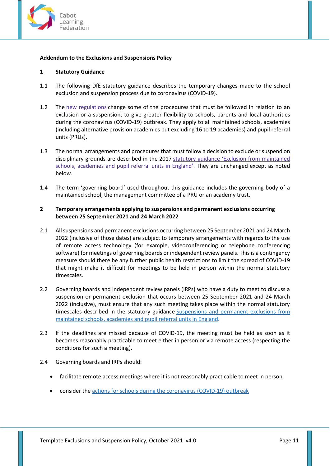

## <span id="page-10-0"></span>**Addendum to the Exclusions and Suspensions Policy**

## <span id="page-10-1"></span>**1 Statutory Guidance**

- 1.1 The following DfE statutory guidance describes the temporary changes made to the school exclusion and suspension process due to coronavirus (COVID-19).
- 1.2 The new [regulations](http://www.legislation.gov.uk/uksi/2020/543/contents/made) change some of the procedures that must be followed in relation to an exclusion or a suspension, to give greater flexibility to schools, parents and local authorities during the coronavirus (COVID-19) outbreak. They apply to all maintained schools, academies (including alternative provision academies but excluding 16 to 19 academies) and pupil referral units (PRUs).
- 1.3 The normal arrangements and procedures that must follow a decision to exclude or suspend on disciplinary grounds are described in the 2017 statutory guidance 'Exclusion from [maintained](https://assets.publishing.service.gov.uk/government/uploads/system/uploads/attachment_data/file/641418/20170831_Exclusion_Stat_guidance_Web_version.pdf) schools, [academies](https://assets.publishing.service.gov.uk/government/uploads/system/uploads/attachment_data/file/641418/20170831_Exclusion_Stat_guidance_Web_version.pdf) and pupil referral units in England'. They are unchanged except as noted below.
- 1.4 The term 'governing board' used throughout this guidance includes the governing body of a maintained school, the management committee of a PRU or an academy trust.

## <span id="page-10-2"></span>**2 Temporary arrangements applying to suspensions and permanent exclusions occurring between 25 September 2021 and 24 March 2022**

- 2.1 All suspensions and permanent exclusions occurring between 25 September 2021 and 24 March 2022 (inclusive of those dates) are subject to temporary arrangements with regards to the use of remote access technology (for example, videoconferencing or telephone conferencing software) for meetings of governing boards or independent review panels. This is a contingency measure should there be any further public health restrictions to limit the spread of COVID-19 that might make it difficult for meetings to be held in person within the normal statutory timescales.
- 2.2 Governing boards and independent review panels (IRPs) who have a duty to meet to discuss a suspension or permanent exclusion that occurs between 25 September 2021 and 24 March 2022 (inclusive), must ensure that any such meeting takes place within the normal statutory timescales described in the statutory guidance [Suspensions](https://www.gov.uk/government/publications/school-exclusion) and permanent exclusions from [maintained](https://www.gov.uk/government/publications/school-exclusion) schools, academies and pupil referral units in England.
- 2.3 If the deadlines are missed because of COVID-19, the meeting must be held as soon as it becomes reasonably practicable to meet either in person or via remote access (respecting the conditions for such a meeting).
- 2.4 Governing boards and IRPs should:
	- facilitate remote access meetings where it is not reasonably practicable to meet in person
	- consider the actions for schools during the [coronavirus](https://www.gov.uk/government/publications/actions-for-schools-during-the-coronavirus-outbreak) (COVID-19) outbreak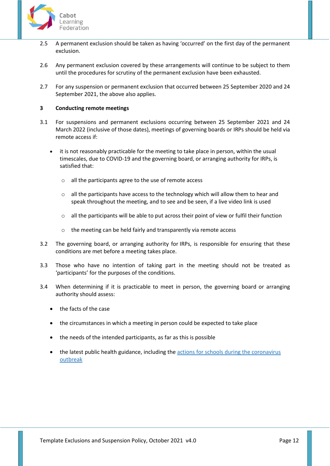

- 2.5 A permanent exclusion should be taken as having 'occurred' on the first day of the permanent exclusion.
- 2.6 Any permanent exclusion covered by these arrangements will continue to be subject to them until the procedures for scrutiny of the permanent exclusion have been exhausted.
- 2.7 For any suspension or permanent exclusion that occurred between 25 September 2020 and 24 September 2021, the above also applies.

### <span id="page-11-0"></span>**3 Conducting remote meetings**

- 3.1 For suspensions and permanent exclusions occurring between 25 September 2021 and 24 March 2022 (inclusive of those dates), meetings of governing boards or IRPs should be held via remote access if:
	- it is not reasonably practicable for the meeting to take place in person, within the usual timescales, due to COVID-19 and the governing board, or arranging authority for IRPs, is satisfied that:
		- o all the participants agree to the use of remote access
		- $\circ$  all the participants have access to the technology which will allow them to hear and speak throughout the meeting, and to see and be seen, if a live video link is used
		- o all the participants will be able to put across their point of view or fulfil their function
		- o the meeting can be held fairly and transparently via remote access
- 3.2 The governing board, or arranging authority for IRPs, is responsible for ensuring that these conditions are met before a meeting takes place.
- 3.3 Those who have no intention of taking part in the meeting should not be treated as 'participants' for the purposes of the conditions.
- 3.4 When determining if it is practicable to meet in person, the governing board or arranging authority should assess:
	- the facts of the case
	- the circumstances in which a meeting in person could be expected to take place
	- the needs of the intended participants, as far as this is possible
	- the latest public health guidance, including the actions for schools during the [coronavirus](https://www.gov.uk/government/publications/actions-for-schools-during-the-coronavirus-outbreak) [outbreak](https://www.gov.uk/government/publications/actions-for-schools-during-the-coronavirus-outbreak)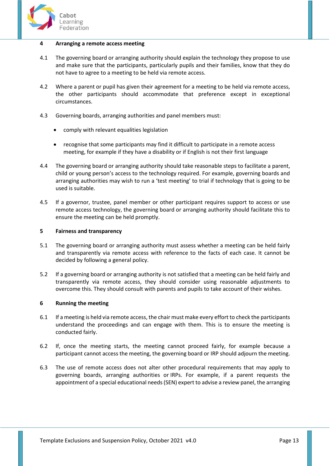

#### <span id="page-12-0"></span>**4 Arranging a remote access meeting**

- 4.1 The governing board or arranging authority should explain the technology they propose to use and make sure that the participants, particularly pupils and their families, know that they do not have to agree to a meeting to be held via remote access.
- 4.2 Where a parent or pupil has given their agreement for a meeting to be held via remote access, the other participants should accommodate that preference except in exceptional circumstances.
- 4.3 Governing boards, arranging authorities and panel members must:
	- comply with relevant equalities legislation
	- recognise that some participants may find it difficult to participate in a remote access meeting, for example if they have a disability or if English is not their first language
- 4.4 The governing board or arranging authority should take reasonable steps to facilitate a parent, child or young person's access to the technology required. For example, governing boards and arranging authorities may wish to run a 'test meeting' to trial if technology that is going to be used is suitable.
- 4.5 If a governor, trustee, panel member or other participant requires support to access or use remote access technology, the governing board or arranging authority should facilitate this to ensure the meeting can be held promptly.

#### <span id="page-12-1"></span>**5 Fairness and transparency**

- 5.1 The governing board or arranging authority must assess whether a meeting can be held fairly and transparently via remote access with reference to the facts of each case. It cannot be decided by following a general policy.
- 5.2 If a governing board or arranging authority is not satisfied that a meeting can be held fairly and transparently via remote access, they should consider using reasonable adjustments to overcome this. They should consult with parents and pupils to take account of their wishes.

## <span id="page-12-2"></span>**6 Running the meeting**

- 6.1 If a meeting is held via remote access, the chair must make every effort to check the participants understand the proceedings and can engage with them. This is to ensure the meeting is conducted fairly.
- 6.2 If, once the meeting starts, the meeting cannot proceed fairly, for example because a participant cannot access the meeting, the governing board or IRP should adjourn the meeting.
- 6.3 The use of remote access does not alter other procedural requirements that may apply to governing boards, arranging authorities or IRPs. For example, if a parent requests the appointment of a special educational needs (SEN) expert to advise a review panel, the arranging